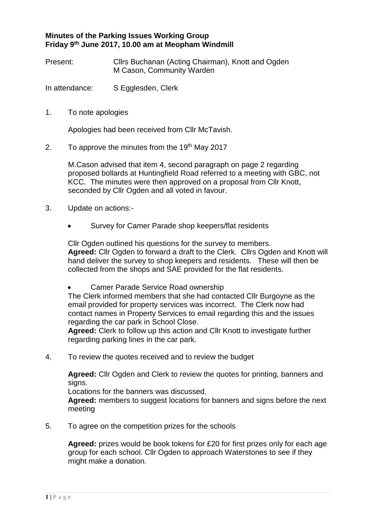## **Minutes of the Parking Issues Working Group Friday 9 th June 2017, 10.00 am at Meopham Windmill**

Present: Cllrs Buchanan (Acting Chairman), Knott and Ogden M Cason, Community Warden

In attendance: S Egglesden, Clerk

1. To note apologies

Apologies had been received from Cllr McTavish.

2. To approve the minutes from the  $19<sup>th</sup>$  May 2017

M.Cason advised that item 4, second paragraph on page 2 regarding proposed bollards at Huntingfield Road referred to a meeting with GBC, not KCC. The minutes were then approved on a proposal from Cllr Knott, seconded by Cllr Ogden and all voted in favour.

- 3. Update on actions:-
	- Survey for Camer Parade shop keepers/flat residents

Cllr Ogden outlined his questions for the survey to members. **Agreed:** Cllr Ogden to forward a draft to the Clerk. Cllrs Ogden and Knott will hand deliver the survey to shop keepers and residents. These will then be collected from the shops and SAE provided for the flat residents.

• Camer Parade Service Road ownership

The Clerk informed members that she had contacted Cllr Burgoyne as the email provided for property services was incorrect. The Clerk now had contact names in Property Services to email regarding this and the issues regarding the car park in School Close.

**Agreed:** Clerk to follow up this action and Cllr Knott to investigate further regarding parking lines in the car park.

4. To review the quotes received and to review the budget

**Agreed:** Cllr Ogden and Clerk to review the quotes for printing, banners and signs.

Locations for the banners was discussed.

**Agreed:** members to suggest locations for banners and signs before the next meeting

5. To agree on the competition prizes for the schools

**Agreed:** prizes would be book tokens for £20 for first prizes only for each age group for each school. Cllr Ogden to approach Waterstones to see if they might make a donation.